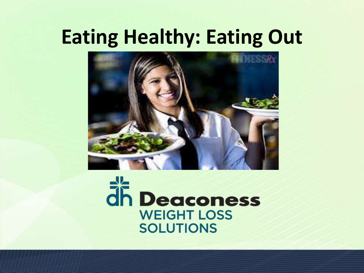# **Eating Healthy: Eating Out**



# dh Deaconess **WEIGHT LOSS SOLUTIONS**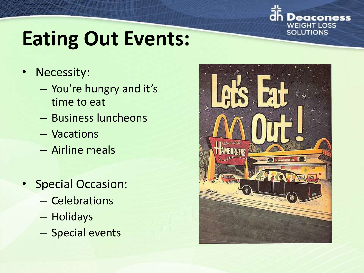

# **Eating Out Events:**

- Necessity:
	- You're hungry and it's time to eat
	- Business luncheons
	- Vacations
	- Airline meals
- Special Occasion:
	- Celebrations
	- Holidays
	- Special events

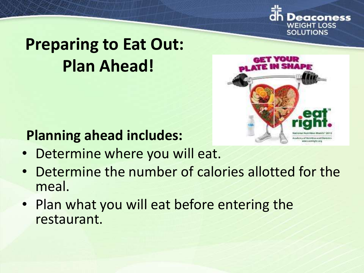

## **Preparing to Eat Out: Plan Ahead!**



### **Planning ahead includes:**

- Determine where you will eat.
- Determine the number of calories allotted for the meal.
- Plan what you will eat before entering the restaurant.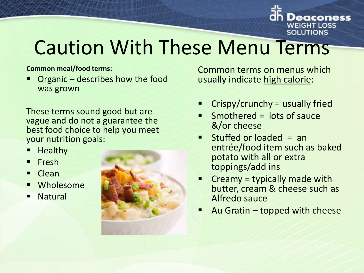

# Caution With These Menu Terms

#### **Common meal/food terms:**

 Organic – describes how the food was grown

These terms sound good but are vague and do not a guarantee the best food choice to help you meet your nutrition goals:

- **Healthy**
- **resh**
- **Clean**
- **Wholesome**
- **Natural**



Common terms on menus which usually indicate high calorie:

- Crispy/crunchy = usually fried
- Smothered = lots of sauce &/or cheese
- Stuffed or loaded = an entrée/food item such as baked potato with all or extra toppings/add ins
- Creamy = typically made with butter, cream & cheese such as Alfredo sauce
- Au Gratin topped with cheese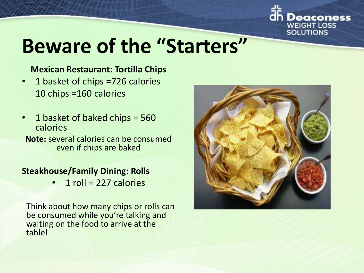

# **Beware of the "Starters"**

#### **Mexican Restaurant: Tortilla Chips**

- 1 basket of chips =726 calories 10 chips =160 calories
- 1 basket of baked chips = 560 calories

**Note:** several calories can be consumed even if chips are baked

#### **Steakhouse/Family Dining: Rolls**

 $1$  roll = 227 calories

Think about how many chips or rolls can be consumed while you're talking and waiting on the food to arrive at the table!

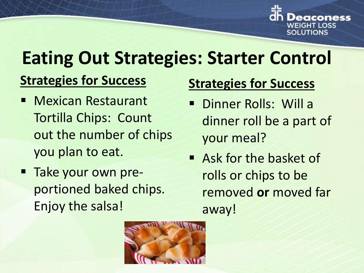

# **Eating Out Strategies: Starter Control**

### **Strategies for Success**

- **Nexican Restaurant** Tortilla Chips: Count out the number of chips you plan to eat.
- **Take your own pre**portioned baked chips. Enjoy the salsa!

### **Strategies for Success**

- Dinner Rolls: Will a dinner roll be a part of your meal?
- Ask for the basket of rolls or chips to be removed **or** moved far away!

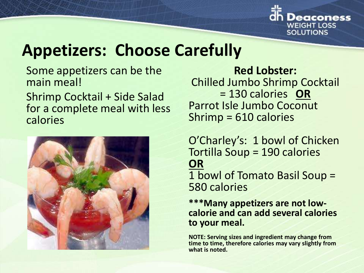

### **Appetizers: Choose Carefully**

Some appetizers can be the main meal!

Shrimp Cocktail + Side Salad for a complete meal with less calories



**Red Lobster:**  Chilled Jumbo Shrimp Cocktail = 130 calories **OR** Parrot Isle Jumbo Coconut Shrimp = 610 calories

O'Charley's: 1 bowl of Chicken Tortilla Soup = 190 calories **OR** 1 bowl of Tomato Basil Soup = 580 calories

**\*\*\*Many appetizers are not lowcalorie and can add several calories to your meal.**

**NOTE: Serving sizes and ingredient may change from time to time, therefore calories may vary slightly from what is noted.**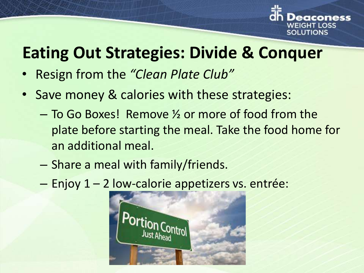

## **Eating Out Strategies: Divide & Conquer**

- Resign from the *"Clean Plate Club"*
- Save money & calories with these strategies:
	- To Go Boxes! Remove ½ or more of food from the plate before starting the meal. Take the food home for an additional meal.
	- Share a meal with family/friends.
	- Enjoy 1 2 low-calorie appetizers vs. entrée:

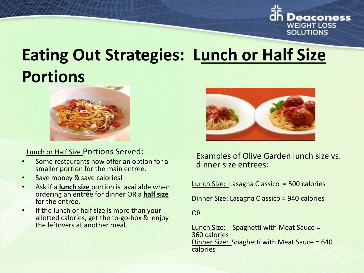

### **Eating Out Strategies: Lunch or Half Size Portions**



Lunch or Half Size Portions Served:

- Some restaurants now offer an option for a smaller portion for the main entrée.
- Save money & save calories!
- Ask if a **lunch size** portion is available when ordering an entrée for dinner OR a **half size**  for the entrée.
- If the lunch or half size is more than your allotted calories, get the to-go-box & enjoy the leftovers at another meal.



Examples of Olive Garden lunch size vs. dinner size entrees:

Lunch Size: Lasagna Classico = 500 calories

Dinner Size: Lasagna Classico = 940 calories

**OR** 

Lunch Size: Spaghetti with Meat Sauce = 360 calories Dinner Size: Spaghetti with Meat Sauce = 640 calories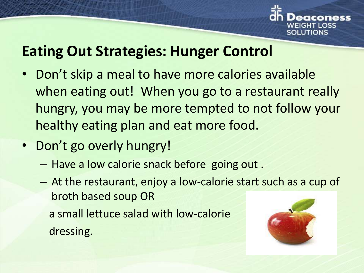

### **Eating Out Strategies: Hunger Control**

- Don't skip a meal to have more calories available when eating out! When you go to a restaurant really hungry, you may be more tempted to not follow your healthy eating plan and eat more food.
- Don't go overly hungry!
	- Have a low calorie snack before going out .
	- At the restaurant, enjoy a low-calorie start such as a cup of broth based soup OR a small lettuce salad with low-calorie dressing.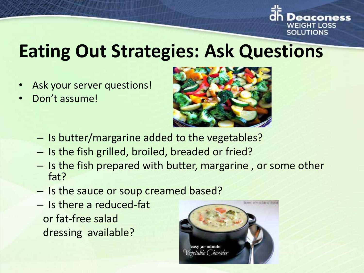

# **Eating Out Strategies: Ask Questions**

- Ask your server questions!
- Don't assume!



- Is butter/margarine added to the vegetables?
- Is the fish grilled, broiled, breaded or fried?
- Is the fish prepared with butter, margarine , or some other fat?
- Is the sauce or soup creamed based?
- Is there a reduced-fat or fat-free salad dressing available?

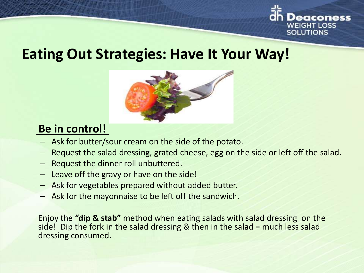

### **Eating Out Strategies: Have It Your Way!**



### **Be in control!**

- Ask for butter/sour cream on the side of the potato.
- Request the salad dressing, grated cheese, egg on the side or left off the salad.
- Request the dinner roll unbuttered.
- Leave off the gravy or have on the side!
- Ask for vegetables prepared without added butter.
- Ask for the mayonnaise to be left off the sandwich.

Enjoy the **"dip & stab"** method when eating salads with salad dressing on the side! Dip the fork in the salad dressing & then in the salad = much less salad dressing consumed.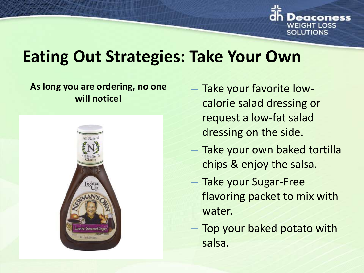

## **Eating Out Strategies: Take Your Own**

#### **As long you are ordering, no one will notice!**



- Take your favorite lowcalorie salad dressing or request a low-fat salad dressing on the side.
- Take your own baked tortilla chips & enjoy the salsa.
- Take your Sugar-Free flavoring packet to mix with water.
- Top your baked potato with salsa.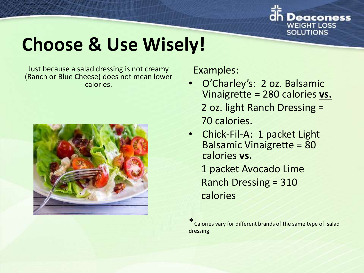

# **Choose & Use Wisely!**

Just because a salad dressing is not creamy (Ranch or Blue Cheese) does not mean lower calories.



Examples:

- O'Charley's: 2 oz. Balsamic Vinaigrette = 280 calories **vs.**  2 oz. light Ranch Dressing = 70 calories.
- Chick-Fil-A: 1 packet Light Balsamic Vinaigrette = 80 calories **vs.** 1 packet Avocado Lime Ranch Dressing = 310 calories

\*Calories vary for different brands of the same type of salad dressing.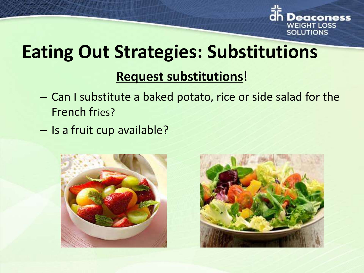

# **Eating Out Strategies: Substitutions**

### **Request substitutions**!

- Can I substitute a baked potato, rice or side salad for the French fries?
- Is a fruit cup available?



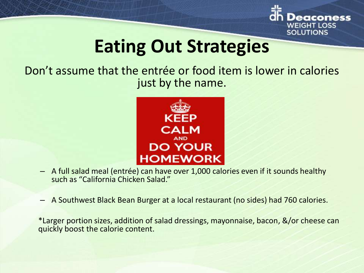

## **Eating Out Strategies**

Don't assume that the entrée or food item is lower in calories just by the name.



- A full salad meal (entrée) can have over 1,000 calories even if it sounds healthy such as "California Chicken Salad."
- A Southwest Black Bean Burger at a local restaurant (no sides) had 760 calories.

\*Larger portion sizes, addition of salad dressings, mayonnaise, bacon, &/or cheese can quickly boost the calorie content.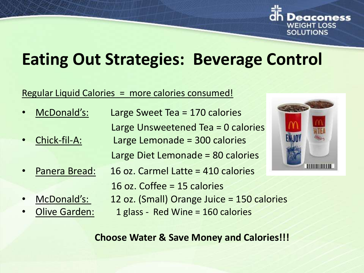

## **Eating Out Strategies: Beverage Control**

#### Regular Liquid Calories = more calories consumed!

- McDonald's: Large Sweet Tea = 170 calories Large Unsweetened Tea = 0 calories • Chick-fil-A: Large Lemonade = 300 calories Large Diet Lemonade = 80 calories
- Panera Bread: 16 oz. Carmel Latte = 410 calories
	- 16 oz. Coffee = 15 calories
	-
- 
- McDonald's: 12 oz. (Small) Orange Juice = 150 calories
	- Olive Garden: 1 glass Red Wine = 160 calories



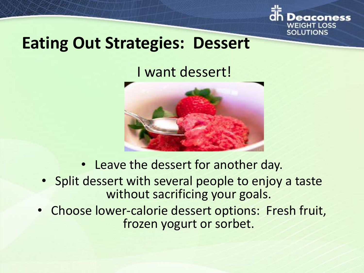

### **Eating Out Strategies: Dessert**

I want dessert!



- Leave the dessert for another day.
- Split dessert with several people to enjoy a taste without sacrificing your goals.
- Choose lower-calorie dessert options: Fresh fruit, frozen yogurt or sorbet.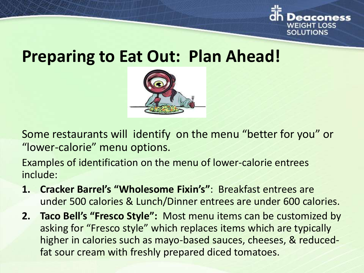

### **Preparing to Eat Out: Plan Ahead!**



Some restaurants will identify on the menu "better for you" or "lower-calorie" menu options.

Examples of identification on the menu of lower-calorie entrees include:

- **1. Cracker Barrel's "Wholesome Fixin's"**: Breakfast entrees are under 500 calories & Lunch/Dinner entrees are under 600 calories.
- **2. Taco Bell's "Fresco Style":** Most menu items can be customized by asking for "Fresco style" which replaces items which are typically higher in calories such as mayo-based sauces, cheeses, & reducedfat sour cream with freshly prepared diced tomatoes.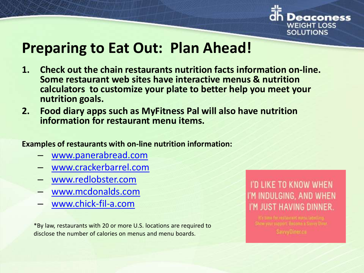

### **Preparing to Eat Out: Plan Ahead!**

- **1. Check out the chain restaurants nutrition facts information on-line. Some restaurant web sites have interactive menus & nutrition calculators to customize your plate to better help you meet your nutrition goals.**
- **2. Food diary apps such as MyFitness Pal will also have nutrition information for restaurant menu items.**
- **Examples of restaurants with on-line nutrition information:**
	- [www.panerabread.com](http://www.panerabread.com/)
	- [www.crackerbarrel.com](http://www.redlobster.com/)
	- [www.redlobster.com](http://www.redlobster.com/)
	- [www.mcdonalds.com](http://www.mcdonalds.com/)
	- [www.chick-fil-a.com](http://www.chick-fil-a.com/)

\*By law, restaurants with 20 or more U.S. locations are required to disclose the number of calories on menus and menu boards.

### I'D LIKE TO KNOW WHEN I'M INDULGING, AND WHEN I'M JUST HAVING DINNER.